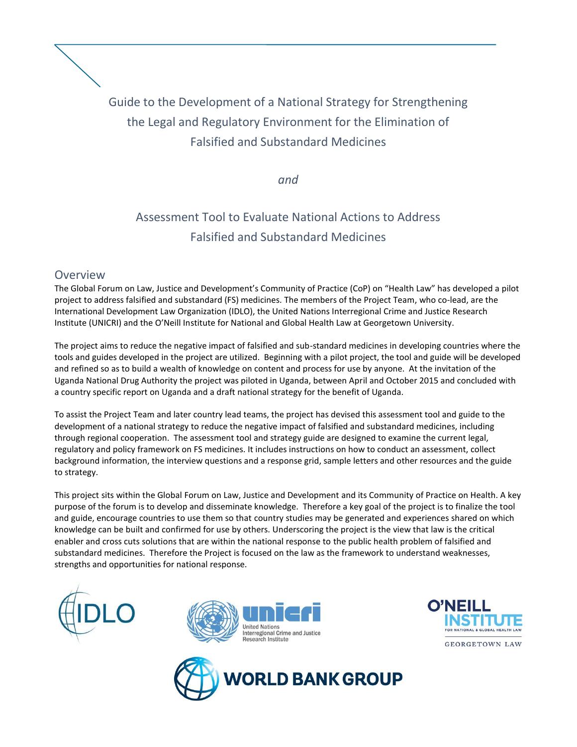

*and*

# Assessment Tool to Evaluate National Actions to Address Falsified and Substandard Medicines

## Overview

The Global Forum on Law, Justice and Development's Community of Practice (CoP) on "Health Law" has developed a pilot project to address falsified and substandard (FS) medicines. The members of the Project Team, who co-lead, are the International Development Law Organization (IDLO), the United Nations Interregional Crime and Justice Research Institute (UNICRI) and the O'Neill Institute for National and Global Health Law at Georgetown University.

The project aims to reduce the negative impact of falsified and sub-standard medicines in developing countries where the tools and guides developed in the project are utilized. Beginning with a pilot project, the tool and guide will be developed and refined so as to build a wealth of knowledge on content and process for use by anyone. At the invitation of the Uganda National Drug Authority the project was piloted in Uganda, between April and October 2015 and concluded with a country specific report on Uganda and a draft national strategy for the benefit of Uganda.

To assist the Project Team and later country lead teams, the project has devised this assessment tool and guide to the development of a national strategy to reduce the negative impact of falsified and substandard medicines, including through regional cooperation. The assessment tool and strategy guide are designed to examine the current legal, regulatory and policy framework on FS medicines. It includes instructions on how to conduct an assessment, collect background information, the interview questions and a response grid, sample letters and other resources and the guide to strategy.

This project sits within the Global Forum on Law, Justice and Development and its Community of Practice on Health. A key purpose of the forum is to develop and disseminate knowledge. Therefore a key goal of the project is to finalize the tool and guide, encourage countries to use them so that country studies may be generated and experiences shared on which knowledge can be built and confirmed for use by others. Underscoring the project is the view that law is the critical enabler and cross cuts solutions that are within the national response to the public health problem of falsified and substandard medicines. Therefore the Project is focused on the law as the framework to understand weaknesses, strengths and opportunities for national response.







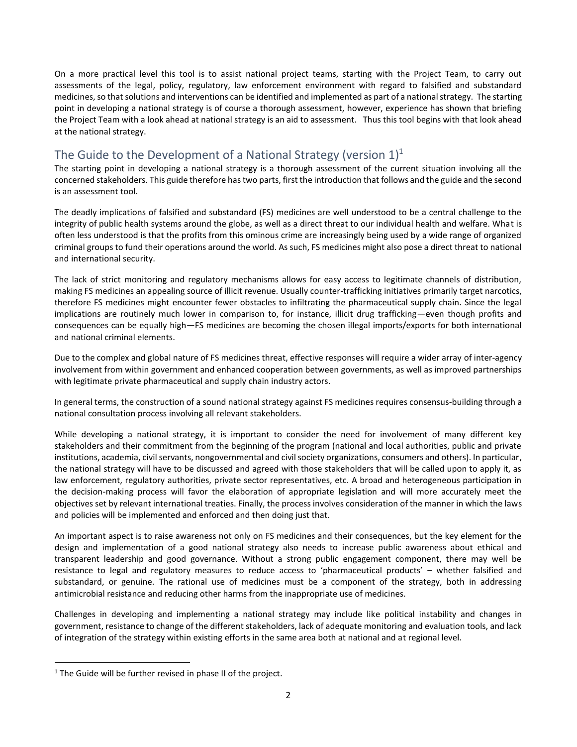On a more practical level this tool is to assist national project teams, starting with the Project Team, to carry out assessments of the legal, policy, regulatory, law enforcement environment with regard to falsified and substandard medicines, so that solutions and interventions can be identified and implemented as part of a national strategy. The starting point in developing a national strategy is of course a thorough assessment, however, experience has shown that briefing the Project Team with a look ahead at national strategy is an aid to assessment. Thus this tool begins with that look ahead at the national strategy.

# The Guide to the Development of a National Strategy (version  $1$ )<sup>1</sup>

The starting point in developing a national strategy is a thorough assessment of the current situation involving all the concerned stakeholders. This guide therefore has two parts, first the introduction that follows and the guide and the second is an assessment tool.

The deadly implications of falsified and substandard (FS) medicines are well understood to be a central challenge to the integrity of public health systems around the globe, as well as a direct threat to our individual health and welfare. What is often less understood is that the profits from this ominous crime are increasingly being used by a wide range of organized criminal groups to fund their operations around the world. As such, FS medicines might also pose a direct threat to national and international security.

The lack of strict monitoring and regulatory mechanisms allows for easy access to legitimate channels of distribution, making FS medicines an appealing source of illicit revenue. Usually counter-trafficking initiatives primarily target narcotics, therefore FS medicines might encounter fewer obstacles to infiltrating the pharmaceutical supply chain. Since the legal implications are routinely much lower in comparison to, for instance, illicit drug trafficking—even though profits and consequences can be equally high—FS medicines are becoming the chosen illegal imports/exports for both international and national criminal elements.

Due to the complex and global nature of FS medicines threat, effective responses will require a wider array of inter-agency involvement from within government and enhanced cooperation between governments, as well as improved partnerships with legitimate private pharmaceutical and supply chain industry actors.

In general terms, the construction of a sound national strategy against FS medicines requires consensus-building through a national consultation process involving all relevant stakeholders.

While developing a national strategy, it is important to consider the need for involvement of many different key stakeholders and their commitment from the beginning of the program (national and local authorities, public and private institutions, academia, civil servants, nongovernmental and civil society organizations, consumers and others). In particular, the national strategy will have to be discussed and agreed with those stakeholders that will be called upon to apply it, as law enforcement, regulatory authorities, private sector representatives, etc. A broad and heterogeneous participation in the decision-making process will favor the elaboration of appropriate legislation and will more accurately meet the objectives set by relevant international treaties. Finally, the process involves consideration of the manner in which the laws and policies will be implemented and enforced and then doing just that.

An important aspect is to raise awareness not only on FS medicines and their consequences, but the key element for the design and implementation of a good national strategy also needs to increase public awareness about ethical and transparent leadership and good governance. Without a strong public engagement component, there may well be resistance to legal and regulatory measures to reduce access to 'pharmaceutical products' – whether falsified and substandard, or genuine. The rational use of medicines must be a component of the strategy, both in addressing antimicrobial resistance and reducing other harms from the inappropriate use of medicines.

Challenges in developing and implementing a national strategy may include like political instability and changes in government, resistance to change of the different stakeholders, lack of adequate monitoring and evaluation tools, and lack of integration of the strategy within existing efforts in the same area both at national and at regional level.

 $\overline{a}$ 

 $1$  The Guide will be further revised in phase II of the project.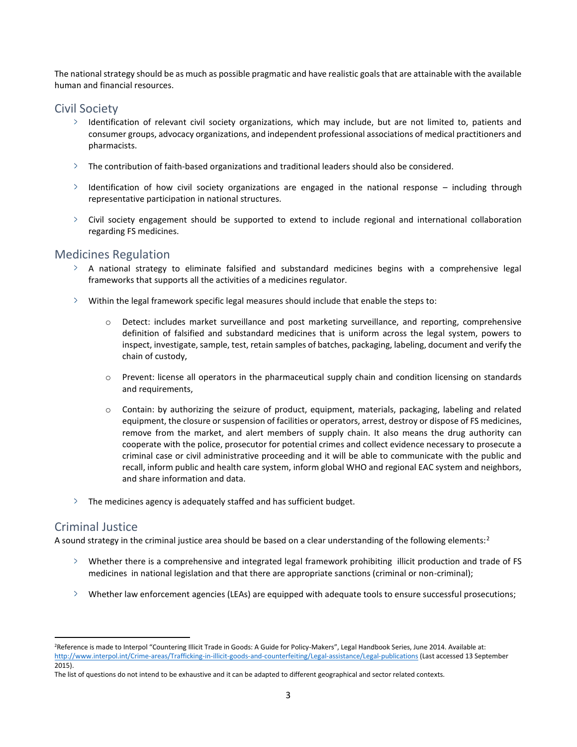The national strategy should be as much as possible pragmatic and have realistic goals that are attainable with the available human and financial resources.

## Civil Society

- $\geq$  Identification of relevant civil society organizations, which may include, but are not limited to, patients and consumer groups, advocacy organizations, and independent professional associations of medical practitioners and pharmacists.
- $\geq$  The contribution of faith-based organizations and traditional leaders should also be considered.
- $\ge$  Identification of how civil society organizations are engaged in the national response including through representative participation in national structures.
- $\geq$  Civil society engagement should be supported to extend to include regional and international collaboration regarding FS medicines.

## Medicines Regulation

- $\geq$  A national strategy to eliminate falsified and substandard medicines begins with a comprehensive legal frameworks that supports all the activities of a medicines regulator.
- $\geq$  Within the legal framework specific legal measures should include that enable the steps to:
	- o Detect: includes market surveillance and post marketing surveillance, and reporting, comprehensive definition of falsified and substandard medicines that is uniform across the legal system, powers to inspect, investigate, sample, test, retain samples of batches, packaging, labeling, document and verify the chain of custody,
	- o Prevent: license all operators in the pharmaceutical supply chain and condition licensing on standards and requirements,
	- o Contain: by authorizing the seizure of product, equipment, materials, packaging, labeling and related equipment, the closure or suspension of facilities or operators, arrest, destroy or dispose of FS medicines, remove from the market, and alert members of supply chain. It also means the drug authority can cooperate with the police, prosecutor for potential crimes and collect evidence necessary to prosecute a criminal case or civil administrative proceeding and it will be able to communicate with the public and recall, inform public and health care system, inform global WHO and regional EAC system and neighbors, and share information and data.
- $\geq$  The medicines agency is adequately staffed and has sufficient budget.

## Criminal Justice

 $\overline{a}$ 

A sound strategy in the criminal justice area should be based on a clear understanding of the following elements: $2$ 

- $\rightarrow$  Whether there is a comprehensive and integrated legal framework prohibiting illicit production and trade of FS medicines in national legislation and that there are appropriate sanctions (criminal or non-criminal);
- Whether law enforcement agencies (LEAs) are equipped with adequate tools to ensure successful prosecutions;

<sup>&</sup>lt;sup>2</sup>Reference is made to Interpol "Countering Illicit Trade in Goods: A Guide for Policy-Makers", Legal Handbook Series, June 2014. Available at: <http://www.interpol.int/Crime-areas/Trafficking-in-illicit-goods-and-counterfeiting/Legal-assistance/Legal-publications> (Last accessed 13 September 2015).

The list of questions do not intend to be exhaustive and it can be adapted to different geographical and sector related contexts.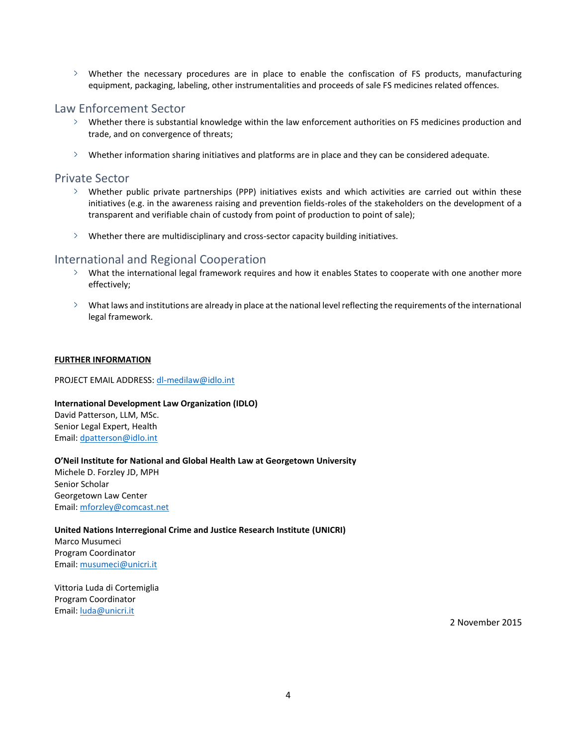Whether the necessary procedures are in place to enable the confiscation of FS products, manufacturing equipment, packaging, labeling, other instrumentalities and proceeds of sale FS medicines related offences.

#### Law Enforcement Sector

- $\geq$  Whether there is substantial knowledge within the law enforcement authorities on FS medicines production and trade, and on convergence of threats;
- $\geq$  Whether information sharing initiatives and platforms are in place and they can be considered adequate.

## Private Sector

- Whether public private partnerships (PPP) initiatives exists and which activities are carried out within these initiatives (e.g. in the awareness raising and prevention fields-roles of the stakeholders on the development of a transparent and verifiable chain of custody from point of production to point of sale);
- $\angle$  Whether there are multidisciplinary and cross-sector capacity building initiatives.

## International and Regional Cooperation

- What the international legal framework requires and how it enables States to cooperate with one another more effectively;
- $\geq$  What laws and institutions are already in place at the national level reflecting the requirements of the international legal framework.

#### **FURTHER INFORMATION**

PROJECT EMAIL ADDRESS: [dl-medilaw@idlo.int](mailto:dl-medilaw@idlo.int)

#### **International Development Law Organization (IDLO)**

David Patterson, LLM, MSc. Senior Legal Expert, Health Email: [dpatterson@idlo.int](mailto:dpatterson@idlo.int)

#### **O'Neil Institute for National and Global Health Law at Georgetown University**

Michele D. Forzley JD, MPH Senior Scholar Georgetown Law Center Email: [mforzley@comcast.net](mailto:mforzley@comcast.net)

#### **United Nations Interregional Crime and Justice Research Institute (UNICRI)**

Marco Musumeci Program Coordinator Email: [musumeci@unicri.it](mailto:musumeci@unicri.it)

Vittoria Luda di Cortemiglia Program Coordinator Email: [luda@unicri.it](mailto:luda@unicri.it)

2 November 2015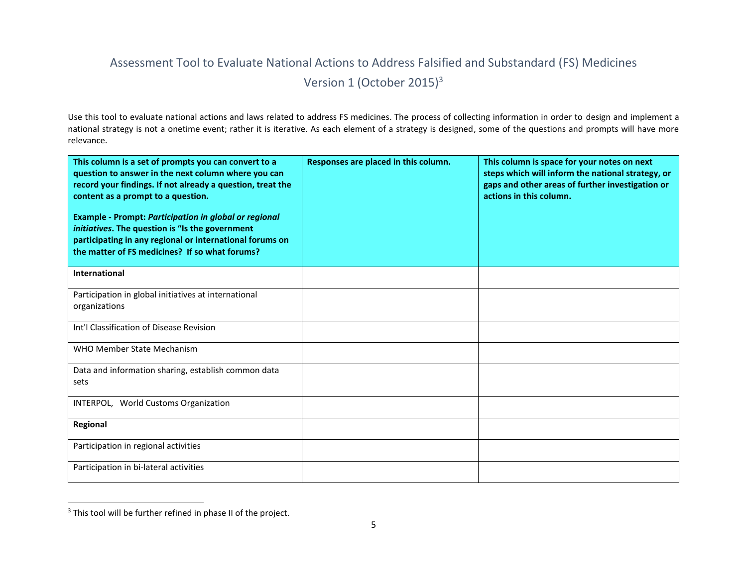# Assessment Tool to Evaluate National Actions to Address Falsified and Substandard (FS) Medicines Version 1 (October 2015)<sup>3</sup>

Use this tool to evaluate national actions and laws related to address FS medicines. The process of collecting information in order to design and implement a national strategy is not a onetime event; rather it is iterative. As each element of a strategy is designed, some of the questions and prompts will have more relevance.

| This column is a set of prompts you can convert to a<br>question to answer in the next column where you can<br>record your findings. If not already a question, treat the<br>content as a prompt to a question.<br><b>Example - Prompt: Participation in global or regional</b><br>initiatives. The question is "Is the government<br>participating in any regional or international forums on<br>the matter of FS medicines? If so what forums? | Responses are placed in this column. | This column is space for your notes on next<br>steps which will inform the national strategy, or<br>gaps and other areas of further investigation or<br>actions in this column. |
|--------------------------------------------------------------------------------------------------------------------------------------------------------------------------------------------------------------------------------------------------------------------------------------------------------------------------------------------------------------------------------------------------------------------------------------------------|--------------------------------------|---------------------------------------------------------------------------------------------------------------------------------------------------------------------------------|
| International                                                                                                                                                                                                                                                                                                                                                                                                                                    |                                      |                                                                                                                                                                                 |
| Participation in global initiatives at international<br>organizations                                                                                                                                                                                                                                                                                                                                                                            |                                      |                                                                                                                                                                                 |
| Int'l Classification of Disease Revision                                                                                                                                                                                                                                                                                                                                                                                                         |                                      |                                                                                                                                                                                 |
| WHO Member State Mechanism                                                                                                                                                                                                                                                                                                                                                                                                                       |                                      |                                                                                                                                                                                 |
| Data and information sharing, establish common data<br>sets                                                                                                                                                                                                                                                                                                                                                                                      |                                      |                                                                                                                                                                                 |
| INTERPOL, World Customs Organization                                                                                                                                                                                                                                                                                                                                                                                                             |                                      |                                                                                                                                                                                 |
| Regional                                                                                                                                                                                                                                                                                                                                                                                                                                         |                                      |                                                                                                                                                                                 |
| Participation in regional activities                                                                                                                                                                                                                                                                                                                                                                                                             |                                      |                                                                                                                                                                                 |
| Participation in bi-lateral activities                                                                                                                                                                                                                                                                                                                                                                                                           |                                      |                                                                                                                                                                                 |

 $3$  This tool will be further refined in phase II of the project.

 $\overline{a}$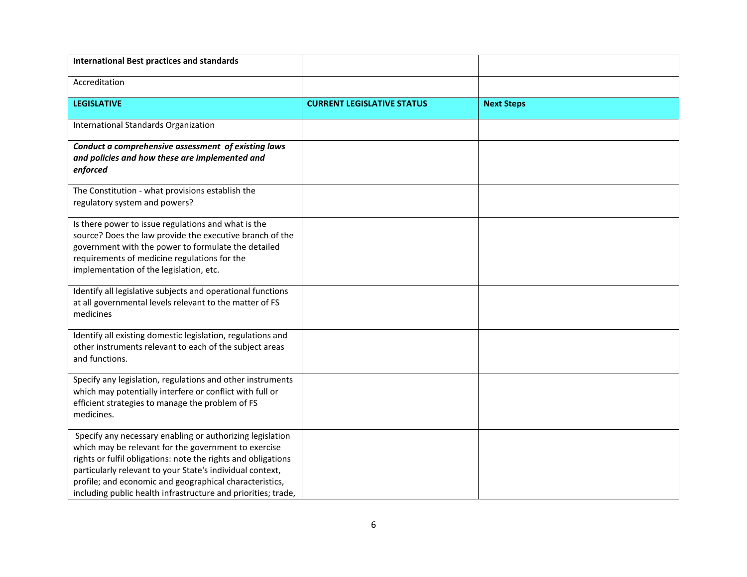| <b>International Best practices and standards</b>                                                                                                                                                                                                                                                                                                                           |                                   |                   |
|-----------------------------------------------------------------------------------------------------------------------------------------------------------------------------------------------------------------------------------------------------------------------------------------------------------------------------------------------------------------------------|-----------------------------------|-------------------|
| Accreditation                                                                                                                                                                                                                                                                                                                                                               |                                   |                   |
| <b>LEGISLATIVE</b>                                                                                                                                                                                                                                                                                                                                                          | <b>CURRENT LEGISLATIVE STATUS</b> | <b>Next Steps</b> |
| International Standards Organization                                                                                                                                                                                                                                                                                                                                        |                                   |                   |
| Conduct a comprehensive assessment of existing laws<br>and policies and how these are implemented and<br>enforced                                                                                                                                                                                                                                                           |                                   |                   |
| The Constitution - what provisions establish the<br>regulatory system and powers?                                                                                                                                                                                                                                                                                           |                                   |                   |
| Is there power to issue regulations and what is the<br>source? Does the law provide the executive branch of the<br>government with the power to formulate the detailed<br>requirements of medicine regulations for the<br>implementation of the legislation, etc.                                                                                                           |                                   |                   |
| Identify all legislative subjects and operational functions<br>at all governmental levels relevant to the matter of FS<br>medicines                                                                                                                                                                                                                                         |                                   |                   |
| Identify all existing domestic legislation, regulations and<br>other instruments relevant to each of the subject areas<br>and functions.                                                                                                                                                                                                                                    |                                   |                   |
| Specify any legislation, regulations and other instruments<br>which may potentially interfere or conflict with full or<br>efficient strategies to manage the problem of FS<br>medicines.                                                                                                                                                                                    |                                   |                   |
| Specify any necessary enabling or authorizing legislation<br>which may be relevant for the government to exercise<br>rights or fulfil obligations: note the rights and obligations<br>particularly relevant to your State's individual context,<br>profile; and economic and geographical characteristics,<br>including public health infrastructure and priorities; trade, |                                   |                   |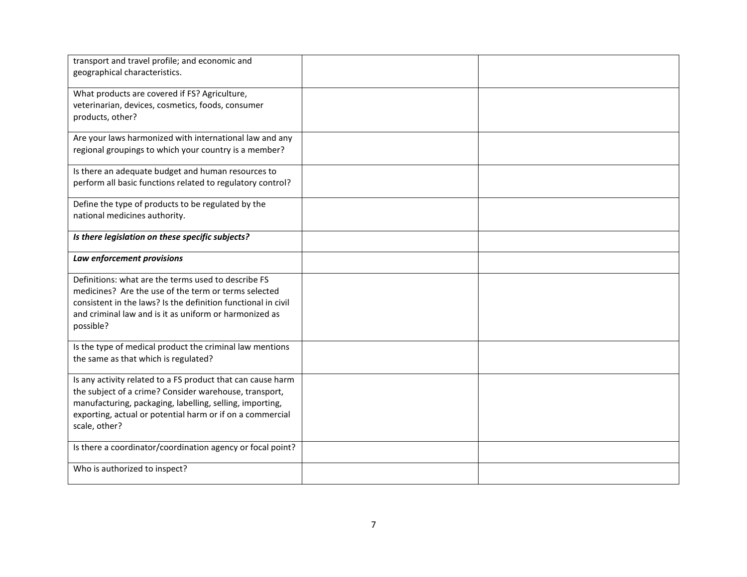| transport and travel profile; and economic and<br>geographical characteristics.                                                                                                                                                                                 |  |
|-----------------------------------------------------------------------------------------------------------------------------------------------------------------------------------------------------------------------------------------------------------------|--|
| What products are covered if FS? Agriculture,<br>veterinarian, devices, cosmetics, foods, consumer<br>products, other?                                                                                                                                          |  |
| Are your laws harmonized with international law and any<br>regional groupings to which your country is a member?                                                                                                                                                |  |
| Is there an adequate budget and human resources to<br>perform all basic functions related to regulatory control?                                                                                                                                                |  |
| Define the type of products to be regulated by the<br>national medicines authority.                                                                                                                                                                             |  |
| Is there legislation on these specific subjects?                                                                                                                                                                                                                |  |
| Law enforcement provisions                                                                                                                                                                                                                                      |  |
| Definitions: what are the terms used to describe FS<br>medicines? Are the use of the term or terms selected<br>consistent in the laws? Is the definition functional in civil<br>and criminal law and is it as uniform or harmonized as<br>possible?             |  |
| Is the type of medical product the criminal law mentions<br>the same as that which is regulated?                                                                                                                                                                |  |
| Is any activity related to a FS product that can cause harm<br>the subject of a crime? Consider warehouse, transport,<br>manufacturing, packaging, labelling, selling, importing,<br>exporting, actual or potential harm or if on a commercial<br>scale, other? |  |
| Is there a coordinator/coordination agency or focal point?                                                                                                                                                                                                      |  |
| Who is authorized to inspect?                                                                                                                                                                                                                                   |  |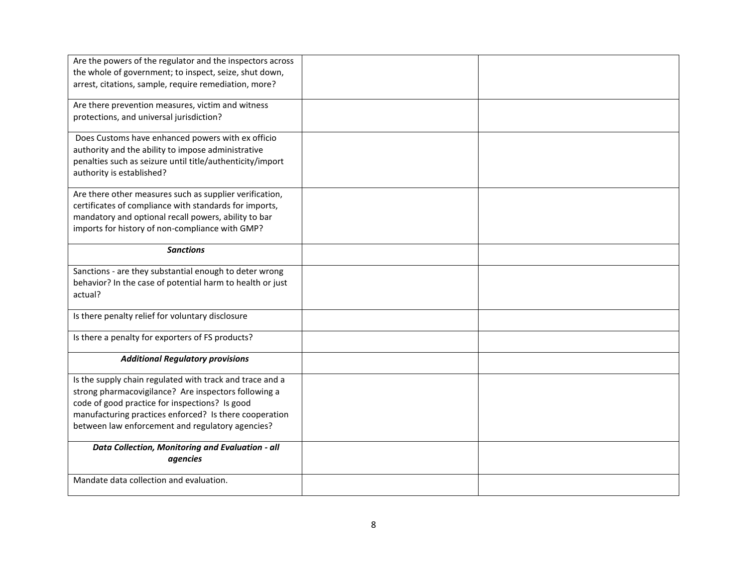| Are the powers of the regulator and the inspectors across<br>the whole of government; to inspect, seize, shut down,<br>arrest, citations, sample, require remediation, more?                                                                                                     |  |
|----------------------------------------------------------------------------------------------------------------------------------------------------------------------------------------------------------------------------------------------------------------------------------|--|
| Are there prevention measures, victim and witness<br>protections, and universal jurisdiction?                                                                                                                                                                                    |  |
| Does Customs have enhanced powers with ex officio<br>authority and the ability to impose administrative<br>penalties such as seizure until title/authenticity/import<br>authority is established?                                                                                |  |
| Are there other measures such as supplier verification,<br>certificates of compliance with standards for imports,<br>mandatory and optional recall powers, ability to bar<br>imports for history of non-compliance with GMP?                                                     |  |
| <b>Sanctions</b>                                                                                                                                                                                                                                                                 |  |
| Sanctions - are they substantial enough to deter wrong<br>behavior? In the case of potential harm to health or just<br>actual?                                                                                                                                                   |  |
| Is there penalty relief for voluntary disclosure                                                                                                                                                                                                                                 |  |
| Is there a penalty for exporters of FS products?                                                                                                                                                                                                                                 |  |
| <b>Additional Regulatory provisions</b>                                                                                                                                                                                                                                          |  |
| Is the supply chain regulated with track and trace and a<br>strong pharmacovigilance? Are inspectors following a<br>code of good practice for inspections? Is good<br>manufacturing practices enforced? Is there cooperation<br>between law enforcement and regulatory agencies? |  |
| Data Collection, Monitoring and Evaluation - all<br>agencies                                                                                                                                                                                                                     |  |
| Mandate data collection and evaluation.                                                                                                                                                                                                                                          |  |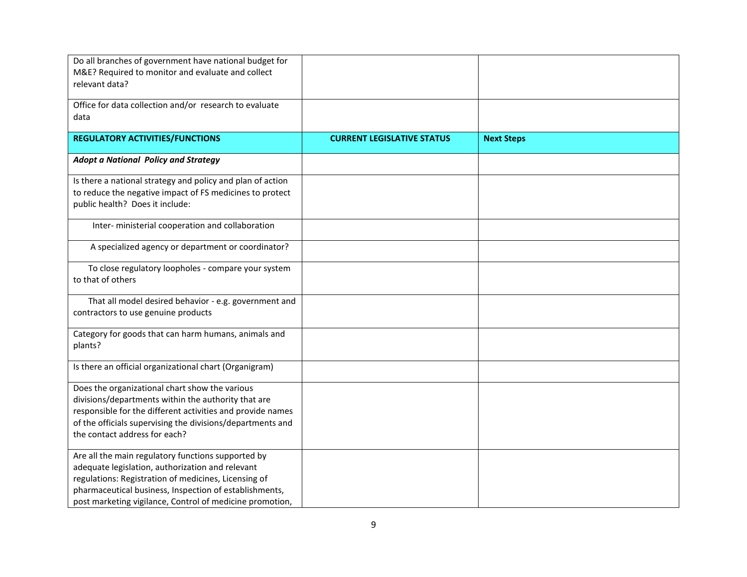| Do all branches of government have national budget for<br>M&E? Required to monitor and evaluate and collect<br>relevant data?                                                                                                                                                        |                                   |                   |
|--------------------------------------------------------------------------------------------------------------------------------------------------------------------------------------------------------------------------------------------------------------------------------------|-----------------------------------|-------------------|
| Office for data collection and/or research to evaluate<br>data                                                                                                                                                                                                                       |                                   |                   |
| <b>REGULATORY ACTIVITIES/FUNCTIONS</b>                                                                                                                                                                                                                                               | <b>CURRENT LEGISLATIVE STATUS</b> | <b>Next Steps</b> |
| <b>Adopt a National Policy and Strategy</b>                                                                                                                                                                                                                                          |                                   |                   |
| Is there a national strategy and policy and plan of action<br>to reduce the negative impact of FS medicines to protect<br>public health? Does it include:                                                                                                                            |                                   |                   |
| Inter- ministerial cooperation and collaboration                                                                                                                                                                                                                                     |                                   |                   |
| A specialized agency or department or coordinator?                                                                                                                                                                                                                                   |                                   |                   |
| To close regulatory loopholes - compare your system<br>to that of others                                                                                                                                                                                                             |                                   |                   |
| That all model desired behavior - e.g. government and<br>contractors to use genuine products                                                                                                                                                                                         |                                   |                   |
| Category for goods that can harm humans, animals and<br>plants?                                                                                                                                                                                                                      |                                   |                   |
| Is there an official organizational chart (Organigram)                                                                                                                                                                                                                               |                                   |                   |
| Does the organizational chart show the various<br>divisions/departments within the authority that are<br>responsible for the different activities and provide names<br>of the officials supervising the divisions/departments and<br>the contact address for each?                   |                                   |                   |
| Are all the main regulatory functions supported by<br>adequate legislation, authorization and relevant<br>regulations: Registration of medicines, Licensing of<br>pharmaceutical business, Inspection of establishments,<br>post marketing vigilance, Control of medicine promotion, |                                   |                   |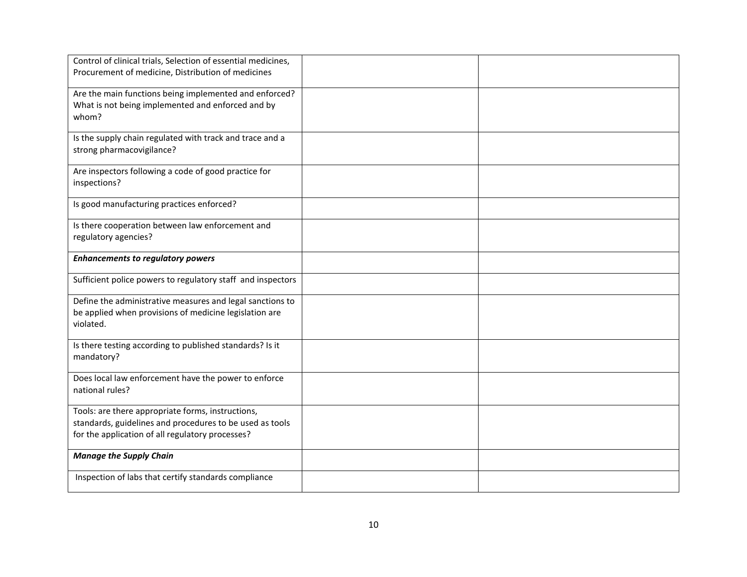| Control of clinical trials, Selection of essential medicines,<br>Procurement of medicine, Distribution of medicines                                               |  |
|-------------------------------------------------------------------------------------------------------------------------------------------------------------------|--|
| Are the main functions being implemented and enforced?<br>What is not being implemented and enforced and by<br>whom?                                              |  |
| Is the supply chain regulated with track and trace and a<br>strong pharmacovigilance?                                                                             |  |
| Are inspectors following a code of good practice for<br>inspections?                                                                                              |  |
| Is good manufacturing practices enforced?                                                                                                                         |  |
| Is there cooperation between law enforcement and<br>regulatory agencies?                                                                                          |  |
| <b>Enhancements to regulatory powers</b>                                                                                                                          |  |
| Sufficient police powers to regulatory staff and inspectors                                                                                                       |  |
| Define the administrative measures and legal sanctions to<br>be applied when provisions of medicine legislation are<br>violated.                                  |  |
| Is there testing according to published standards? Is it<br>mandatory?                                                                                            |  |
| Does local law enforcement have the power to enforce<br>national rules?                                                                                           |  |
| Tools: are there appropriate forms, instructions,<br>standards, guidelines and procedures to be used as tools<br>for the application of all regulatory processes? |  |
| <b>Manage the Supply Chain</b>                                                                                                                                    |  |
| Inspection of labs that certify standards compliance                                                                                                              |  |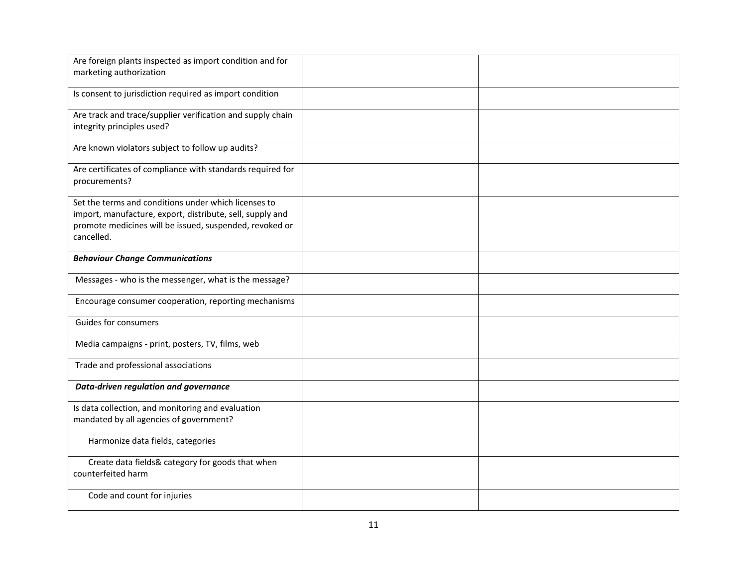| Are foreign plants inspected as import condition and for                                                                                                                                   |  |
|--------------------------------------------------------------------------------------------------------------------------------------------------------------------------------------------|--|
| marketing authorization                                                                                                                                                                    |  |
| Is consent to jurisdiction required as import condition                                                                                                                                    |  |
| Are track and trace/supplier verification and supply chain<br>integrity principles used?                                                                                                   |  |
| Are known violators subject to follow up audits?                                                                                                                                           |  |
| Are certificates of compliance with standards required for<br>procurements?                                                                                                                |  |
| Set the terms and conditions under which licenses to<br>import, manufacture, export, distribute, sell, supply and<br>promote medicines will be issued, suspended, revoked or<br>cancelled. |  |
| <b>Behaviour Change Communications</b>                                                                                                                                                     |  |
| Messages - who is the messenger, what is the message?                                                                                                                                      |  |
| Encourage consumer cooperation, reporting mechanisms                                                                                                                                       |  |
| <b>Guides for consumers</b>                                                                                                                                                                |  |
| Media campaigns - print, posters, TV, films, web                                                                                                                                           |  |
| Trade and professional associations                                                                                                                                                        |  |
| Data-driven regulation and governance                                                                                                                                                      |  |
| Is data collection, and monitoring and evaluation<br>mandated by all agencies of government?                                                                                               |  |
| Harmonize data fields, categories                                                                                                                                                          |  |
| Create data fields& category for goods that when<br>counterfeited harm                                                                                                                     |  |
| Code and count for injuries                                                                                                                                                                |  |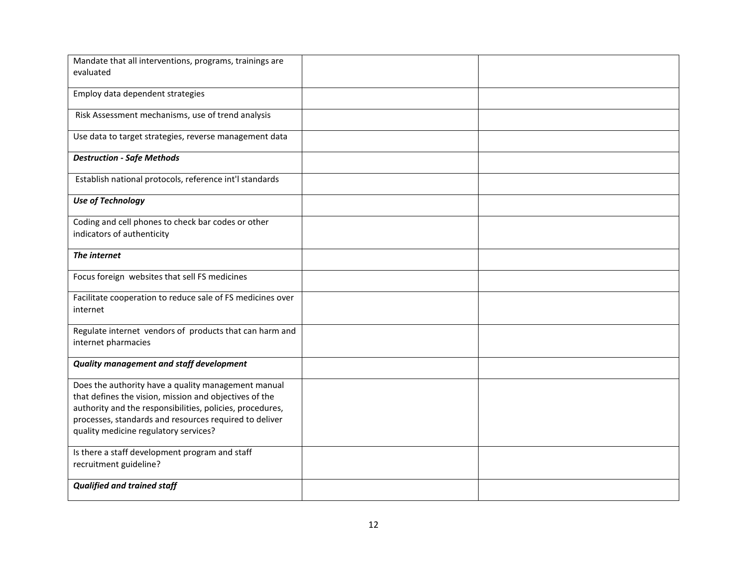| Mandate that all interventions, programs, trainings are    |  |
|------------------------------------------------------------|--|
| evaluated                                                  |  |
|                                                            |  |
| Employ data dependent strategies                           |  |
|                                                            |  |
| Risk Assessment mechanisms, use of trend analysis          |  |
|                                                            |  |
| Use data to target strategies, reverse management data     |  |
|                                                            |  |
| <b>Destruction - Safe Methods</b>                          |  |
|                                                            |  |
| Establish national protocols, reference int'l standards    |  |
|                                                            |  |
| <b>Use of Technology</b>                                   |  |
|                                                            |  |
| Coding and cell phones to check bar codes or other         |  |
| indicators of authenticity                                 |  |
|                                                            |  |
| The internet                                               |  |
|                                                            |  |
| Focus foreign websites that sell FS medicines              |  |
|                                                            |  |
| Facilitate cooperation to reduce sale of FS medicines over |  |
| internet                                                   |  |
|                                                            |  |
| Regulate internet vendors of products that can harm and    |  |
| internet pharmacies                                        |  |
|                                                            |  |
| <b>Quality management and staff development</b>            |  |
|                                                            |  |
| Does the authority have a quality management manual        |  |
| that defines the vision, mission and objectives of the     |  |
| authority and the responsibilities, policies, procedures,  |  |
| processes, standards and resources required to deliver     |  |
| quality medicine regulatory services?                      |  |
|                                                            |  |
| Is there a staff development program and staff             |  |
| recruitment guideline?                                     |  |
|                                                            |  |
| <b>Qualified and trained staff</b>                         |  |
|                                                            |  |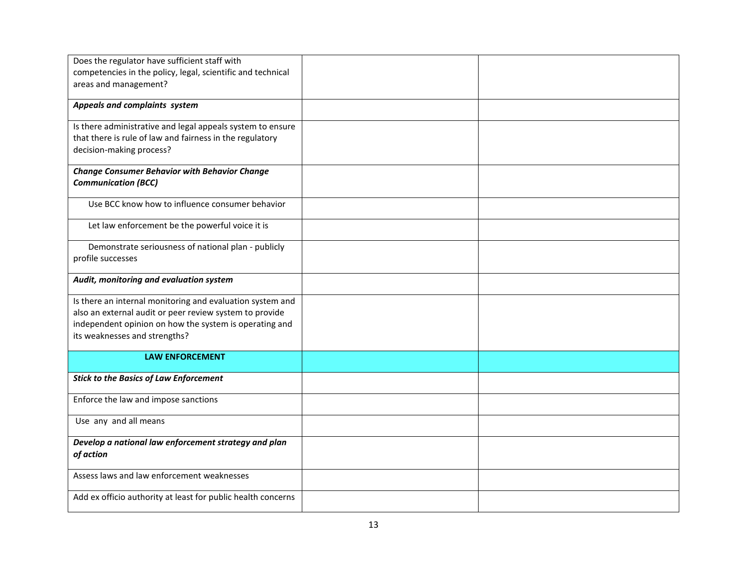| Does the regulator have sufficient staff with                     |  |
|-------------------------------------------------------------------|--|
| competencies in the policy, legal, scientific and technical       |  |
|                                                                   |  |
| areas and management?                                             |  |
| Appeals and complaints system                                     |  |
|                                                                   |  |
| Is there administrative and legal appeals system to ensure        |  |
| that there is rule of law and fairness in the regulatory          |  |
| decision-making process?                                          |  |
| <b>Change Consumer Behavior with Behavior Change</b>              |  |
|                                                                   |  |
| <b>Communication (BCC)</b>                                        |  |
| Use BCC know how to influence consumer behavior                   |  |
|                                                                   |  |
| Let law enforcement be the powerful voice it is                   |  |
|                                                                   |  |
| Demonstrate seriousness of national plan - publicly               |  |
| profile successes                                                 |  |
| Audit, monitoring and evaluation system                           |  |
|                                                                   |  |
| Is there an internal monitoring and evaluation system and         |  |
| also an external audit or peer review system to provide           |  |
| independent opinion on how the system is operating and            |  |
| its weaknesses and strengths?                                     |  |
|                                                                   |  |
| <b>LAW ENFORCEMENT</b>                                            |  |
| <b>Stick to the Basics of Law Enforcement</b>                     |  |
|                                                                   |  |
| Enforce the law and impose sanctions                              |  |
|                                                                   |  |
| Use any and all means                                             |  |
|                                                                   |  |
| Develop a national law enforcement strategy and plan<br>of action |  |
|                                                                   |  |
| Assess laws and law enforcement weaknesses                        |  |
|                                                                   |  |
| Add ex officio authority at least for public health concerns      |  |
|                                                                   |  |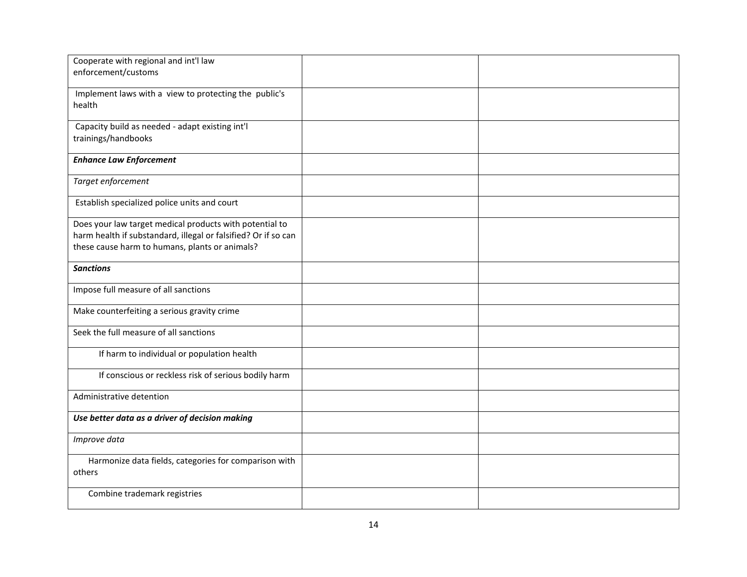| Cooperate with regional and int'l law                                                                            |  |
|------------------------------------------------------------------------------------------------------------------|--|
| enforcement/customs                                                                                              |  |
| Implement laws with a view to protecting the public's                                                            |  |
| health                                                                                                           |  |
| Capacity build as needed - adapt existing int'l                                                                  |  |
| trainings/handbooks                                                                                              |  |
| <b>Enhance Law Enforcement</b>                                                                                   |  |
| Target enforcement                                                                                               |  |
| Establish specialized police units and court                                                                     |  |
| Does your law target medical products with potential to                                                          |  |
| harm health if substandard, illegal or falsified? Or if so can<br>these cause harm to humans, plants or animals? |  |
|                                                                                                                  |  |
| <b>Sanctions</b>                                                                                                 |  |
| Impose full measure of all sanctions                                                                             |  |
| Make counterfeiting a serious gravity crime                                                                      |  |
| Seek the full measure of all sanctions                                                                           |  |
| If harm to individual or population health                                                                       |  |
| If conscious or reckless risk of serious bodily harm                                                             |  |
| Administrative detention                                                                                         |  |
| Use better data as a driver of decision making                                                                   |  |
| Improve data                                                                                                     |  |
| Harmonize data fields, categories for comparison with                                                            |  |
| others                                                                                                           |  |
| Combine trademark registries                                                                                     |  |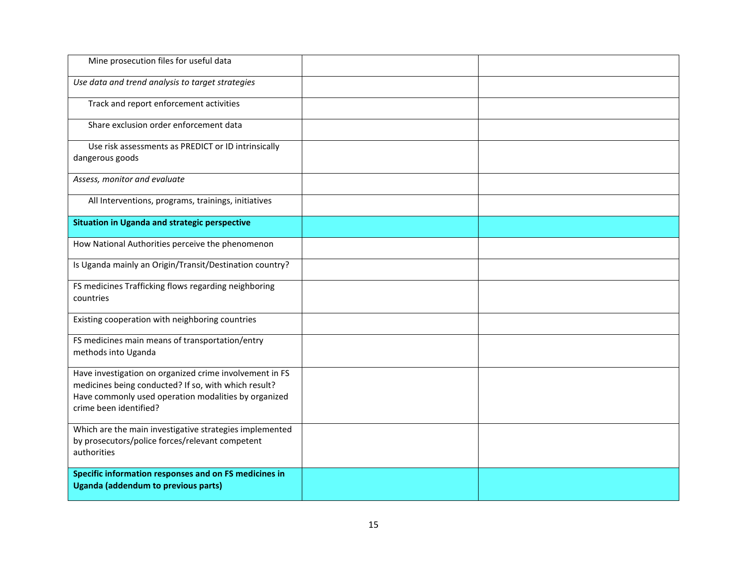| Mine prosecution files for useful data                                                                                                                                                            |  |
|---------------------------------------------------------------------------------------------------------------------------------------------------------------------------------------------------|--|
| Use data and trend analysis to target strategies                                                                                                                                                  |  |
| Track and report enforcement activities                                                                                                                                                           |  |
| Share exclusion order enforcement data                                                                                                                                                            |  |
| Use risk assessments as PREDICT or ID intrinsically<br>dangerous goods                                                                                                                            |  |
| Assess, monitor and evaluate                                                                                                                                                                      |  |
| All Interventions, programs, trainings, initiatives                                                                                                                                               |  |
| Situation in Uganda and strategic perspective                                                                                                                                                     |  |
| How National Authorities perceive the phenomenon                                                                                                                                                  |  |
| Is Uganda mainly an Origin/Transit/Destination country?                                                                                                                                           |  |
| FS medicines Trafficking flows regarding neighboring<br>countries                                                                                                                                 |  |
| Existing cooperation with neighboring countries                                                                                                                                                   |  |
| FS medicines main means of transportation/entry<br>methods into Uganda                                                                                                                            |  |
| Have investigation on organized crime involvement in FS<br>medicines being conducted? If so, with which result?<br>Have commonly used operation modalities by organized<br>crime been identified? |  |
| Which are the main investigative strategies implemented<br>by prosecutors/police forces/relevant competent<br>authorities                                                                         |  |
| Specific information responses and on FS medicines in<br>Uganda (addendum to previous parts)                                                                                                      |  |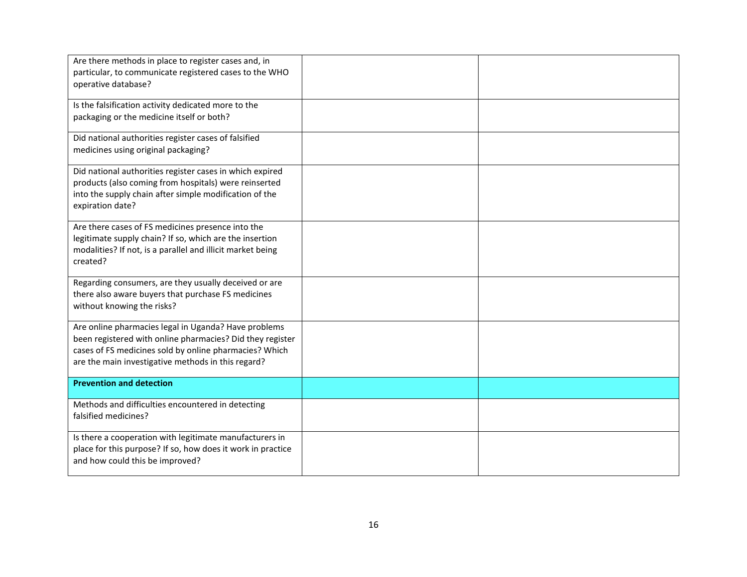| Are there methods in place to register cases and, in<br>particular, to communicate registered cases to the WHO<br>operative database?                                                                                             |  |
|-----------------------------------------------------------------------------------------------------------------------------------------------------------------------------------------------------------------------------------|--|
| Is the falsification activity dedicated more to the<br>packaging or the medicine itself or both?                                                                                                                                  |  |
| Did national authorities register cases of falsified<br>medicines using original packaging?                                                                                                                                       |  |
| Did national authorities register cases in which expired<br>products (also coming from hospitals) were reinserted<br>into the supply chain after simple modification of the<br>expiration date?                                   |  |
| Are there cases of FS medicines presence into the<br>legitimate supply chain? If so, which are the insertion<br>modalities? If not, is a parallel and illicit market being<br>created?                                            |  |
| Regarding consumers, are they usually deceived or are<br>there also aware buyers that purchase FS medicines<br>without knowing the risks?                                                                                         |  |
| Are online pharmacies legal in Uganda? Have problems<br>been registered with online pharmacies? Did they register<br>cases of FS medicines sold by online pharmacies? Which<br>are the main investigative methods in this regard? |  |
| <b>Prevention and detection</b>                                                                                                                                                                                                   |  |
| Methods and difficulties encountered in detecting<br>falsified medicines?                                                                                                                                                         |  |
| Is there a cooperation with legitimate manufacturers in<br>place for this purpose? If so, how does it work in practice<br>and how could this be improved?                                                                         |  |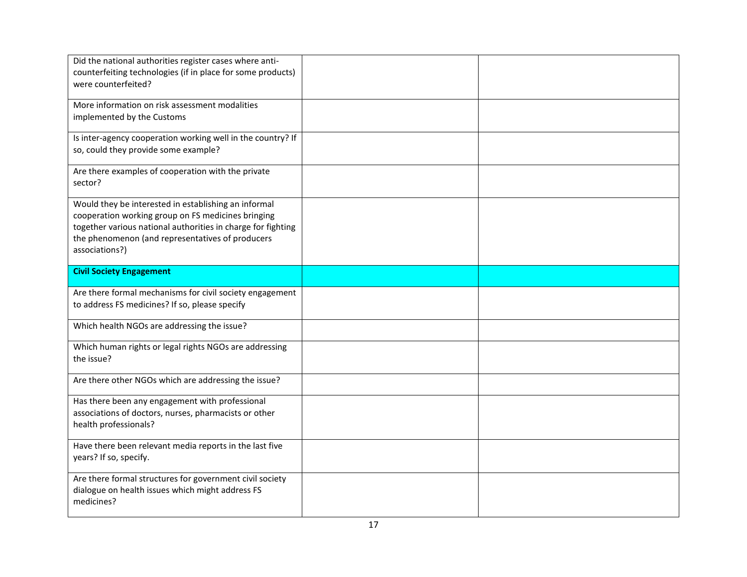| Did the national authorities register cases where anti-<br>counterfeiting technologies (if in place for some products)<br>were counterfeited?                                                                                                    |  |
|--------------------------------------------------------------------------------------------------------------------------------------------------------------------------------------------------------------------------------------------------|--|
| More information on risk assessment modalities<br>implemented by the Customs                                                                                                                                                                     |  |
| Is inter-agency cooperation working well in the country? If<br>so, could they provide some example?                                                                                                                                              |  |
| Are there examples of cooperation with the private<br>sector?                                                                                                                                                                                    |  |
| Would they be interested in establishing an informal<br>cooperation working group on FS medicines bringing<br>together various national authorities in charge for fighting<br>the phenomenon (and representatives of producers<br>associations?) |  |
| <b>Civil Society Engagement</b>                                                                                                                                                                                                                  |  |
| Are there formal mechanisms for civil society engagement<br>to address FS medicines? If so, please specify                                                                                                                                       |  |
| Which health NGOs are addressing the issue?                                                                                                                                                                                                      |  |
| Which human rights or legal rights NGOs are addressing<br>the issue?                                                                                                                                                                             |  |
|                                                                                                                                                                                                                                                  |  |
| Are there other NGOs which are addressing the issue?                                                                                                                                                                                             |  |
| Has there been any engagement with professional<br>associations of doctors, nurses, pharmacists or other<br>health professionals?                                                                                                                |  |
| Have there been relevant media reports in the last five<br>years? If so, specify.                                                                                                                                                                |  |